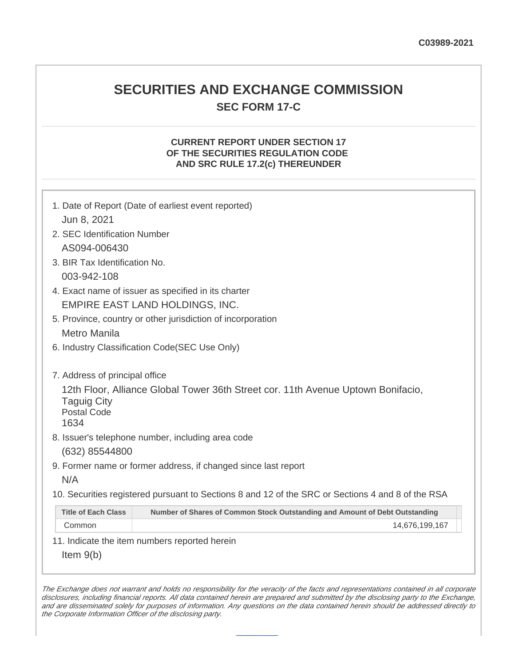## **SECURITIES AND EXCHANGE COMMISSION SEC FORM 17-C**

## **CURRENT REPORT UNDER SECTION 17 OF THE SECURITIES REGULATION CODE AND SRC RULE 17.2(c) THEREUNDER**

| Jun 8, 2021                                                                                                                          | 1. Date of Report (Date of earliest event reported)                         |  |  |
|--------------------------------------------------------------------------------------------------------------------------------------|-----------------------------------------------------------------------------|--|--|
| 2. SEC Identification Number                                                                                                         |                                                                             |  |  |
| AS094-006430                                                                                                                         |                                                                             |  |  |
| 3. BIR Tax Identification No.                                                                                                        |                                                                             |  |  |
| 003-942-108                                                                                                                          |                                                                             |  |  |
| 4. Exact name of issuer as specified in its charter                                                                                  |                                                                             |  |  |
| EMPIRE EAST LAND HOLDINGS, INC.                                                                                                      |                                                                             |  |  |
| 5. Province, country or other jurisdiction of incorporation                                                                          |                                                                             |  |  |
| <b>Metro Manila</b>                                                                                                                  |                                                                             |  |  |
| 6. Industry Classification Code(SEC Use Only)                                                                                        |                                                                             |  |  |
|                                                                                                                                      |                                                                             |  |  |
| 7. Address of principal office                                                                                                       |                                                                             |  |  |
| 12th Floor, Alliance Global Tower 36th Street cor. 11th Avenue Uptown Bonifacio,<br><b>Taguig City</b><br><b>Postal Code</b><br>1634 |                                                                             |  |  |
| 8. Issuer's telephone number, including area code                                                                                    |                                                                             |  |  |
| (632) 85544800                                                                                                                       |                                                                             |  |  |
| 9. Former name or former address, if changed since last report                                                                       |                                                                             |  |  |
| N/A                                                                                                                                  |                                                                             |  |  |
| 10. Securities registered pursuant to Sections 8 and 12 of the SRC or Sections 4 and 8 of the RSA                                    |                                                                             |  |  |
| <b>Title of Each Class</b>                                                                                                           | Number of Shares of Common Stock Outstanding and Amount of Debt Outstanding |  |  |
| Common                                                                                                                               | 14,676,199,167                                                              |  |  |
| 11. Indicate the item numbers reported herein                                                                                        |                                                                             |  |  |
| Item $9(b)$                                                                                                                          |                                                                             |  |  |

The Exchange does not warrant and holds no responsibility for the veracity of the facts and representations contained in all corporate disclosures, including financial reports. All data contained herein are prepared and submitted by the disclosing party to the Exchange, and are disseminated solely for purposes of information. Any questions on the data contained herein should be addressed directly to the Corporate Information Officer of the disclosing party.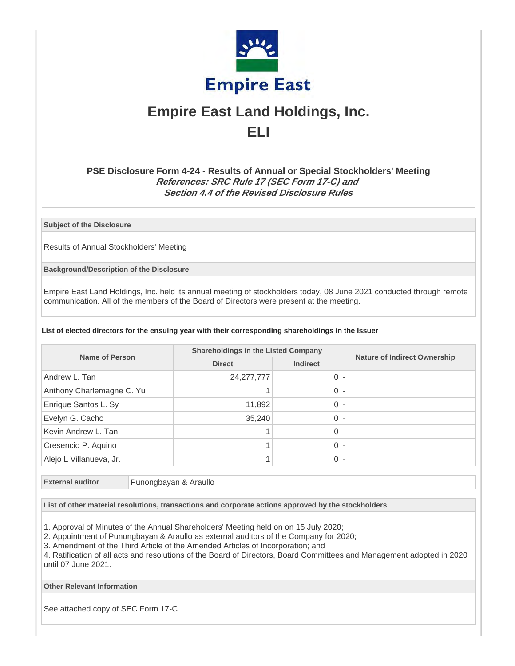

# **Empire East Land Holdings, Inc. ELI**

## **PSE Disclosure Form 4-24 - Results of Annual or Special Stockholders' Meeting References: SRC Rule 17 (SEC Form 17-C) and Section 4.4 of the Revised Disclosure Rules**

**Subject of the Disclosure**

Results of Annual Stockholders' Meeting

**Background/Description of the Disclosure**

Empire East Land Holdings, Inc. held its annual meeting of stockholders today, 08 June 2021 conducted through remote communication. All of the members of the Board of Directors were present at the meeting.

#### **List of elected directors for the ensuing year with their corresponding shareholdings in the Issuer**

| Name of Person            | <b>Shareholdings in the Listed Company</b> |                 |                                     |
|---------------------------|--------------------------------------------|-----------------|-------------------------------------|
|                           | <b>Direct</b>                              | <b>Indirect</b> | <b>Nature of Indirect Ownership</b> |
| Andrew L. Tan             | 24, 277, 777                               | $0 -$           |                                     |
| Anthony Charlemagne C. Yu |                                            | $0 -$           |                                     |
| Enrique Santos L. Sy      | 11,892                                     | 0               |                                     |
| Evelyn G. Cacho           | 35,240                                     | 0               |                                     |
| Kevin Andrew L. Tan       |                                            | $\overline{0}$  |                                     |
| Cresencio P. Aquino       |                                            | $\overline{0}$  |                                     |
| Alejo L Villanueva, Jr.   |                                            | $0 -$           |                                     |

**External auditor** Punongbayan & Araullo

**List of other material resolutions, transactions and corporate actions approved by the stockholders**

1. Approval of Minutes of the Annual Shareholders' Meeting held on on 15 July 2020;

2. Appointment of Punongbayan & Araullo as external auditors of the Company for 2020;

3. Amendment of the Third Article of the Amended Articles of Incorporation; and

4. Ratification of all acts and resolutions of the Board of Directors, Board Committees and Management adopted in 2020 until 07 June 2021.

**Other Relevant Information**

See attached copy of SEC Form 17-C.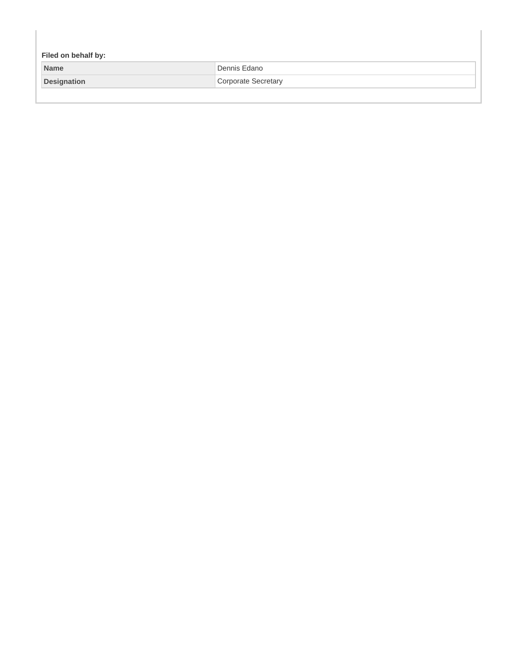| Filed on behalf by: |                     |  |  |
|---------------------|---------------------|--|--|
| <b>Name</b>         | Dennis Edano        |  |  |
| <b>Designation</b>  | Corporate Secretary |  |  |
|                     |                     |  |  |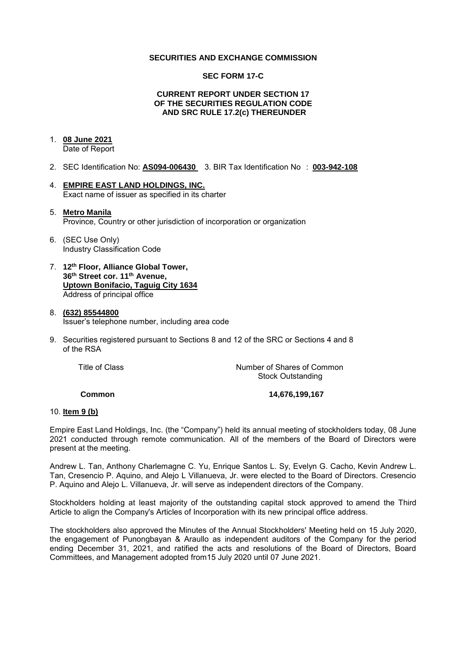#### **SECURITIES AND EXCHANGE COMMISSION**

#### **SEC FORM 17-C**

#### **CURRENT REPORT UNDER SECTION 17 OF THE SECURITIES REGULATION CODE AND SRC RULE 17.2(c) THEREUNDER**

## 1. **08 June 2021**

Date of Report

- 2. SEC Identification No: **AS094-006430** 3. BIR Tax Identification No : **003-942-108**
- 4. **EMPIRE EAST LAND HOLDINGS, INC.**  Exact name of issuer as specified in its charter

#### 5. **Metro Manila**  Province, Country or other jurisdiction of incorporation or organization

- 6. (SEC Use Only) Industry Classification Code
- 7. **12th Floor, Alliance Global Tower, 36th Street cor. 11th Avenue, Uptown Bonifacio, Taguig City 1634** Address of principal office

#### 8. **(632) 85544800**  Issuer's telephone number, including area code

9. Securities registered pursuant to Sections 8 and 12 of the SRC or Sections 4 and 8 of the RSA

Title of Class *Number of Shares of Common* Stock Outstanding

**Common 14,676,199,167** 

#### 10. **Item 9 (b)**

Empire East Land Holdings, Inc. (the "Company") held its annual meeting of stockholders today, 08 June 2021 conducted through remote communication. All of the members of the Board of Directors were present at the meeting.

Andrew L. Tan, Anthony Charlemagne C. Yu, Enrique Santos L. Sy, Evelyn G. Cacho, Kevin Andrew L. Tan, Cresencio P. Aquino, and Alejo L Villanueva, Jr. were elected to the Board of Directors. Cresencio P. Aquino and Alejo L. Villanueva, Jr. will serve as independent directors of the Company.

Stockholders holding at least majority of the outstanding capital stock approved to amend the Third Article to align the Company's Articles of Incorporation with its new principal office address.

The stockholders also approved the Minutes of the Annual Stockholders' Meeting held on 15 July 2020, the engagement of Punongbayan & Araullo as independent auditors of the Company for the period ending December 31, 2021, and ratified the acts and resolutions of the Board of Directors, Board Committees, and Management adopted from15 July 2020 until 07 June 2021.